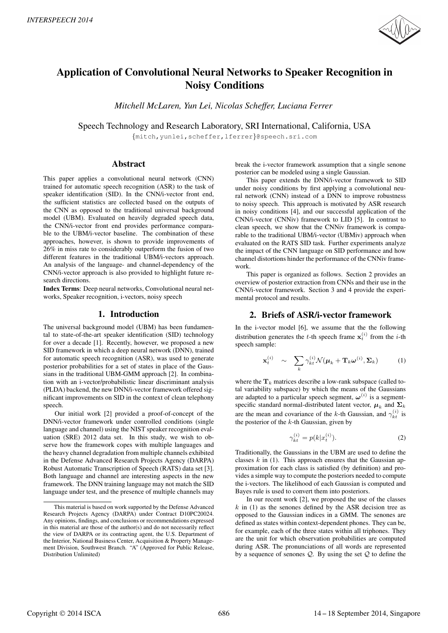

# Application of Convolutional Neural Networks to Speaker Recognition in Noisy Conditions

*Mitchell McLaren, Yun Lei, Nicolas Scheffer, Luciana Ferrer*

Speech Technology and Research Laboratory, SRI International, California, USA

{mitch,yunlei,scheffer,lferrer}@speech.sri.com

## Abstract

This paper applies a convolutional neural network (CNN) trained for automatic speech recognition (ASR) to the task of speaker identification (SID). In the CNN/i-vector front end, the sufficient statistics are collected based on the outputs of the CNN as opposed to the traditional universal background model (UBM). Evaluated on heavily degraded speech data, the CNN/i-vector front end provides performance comparable to the UBM/i-vector baseline. The combination of these approaches, however, is shown to provide improvements of 26% in miss rate to considerably outperform the fusion of two different features in the traditional UBM/i-vectors approach. An analysis of the language- and channel-dependency of the CNN/i-vector approach is also provided to highlight future research directions.

Index Terms: Deep neural networks, Convolutional neural networks, Speaker recognition, i-vectors, noisy speech

# 1. Introduction

The universal background model (UBM) has been fundamental to state-of-the-art speaker identification (SID) technology for over a decade [1]. Recently, however, we proposed a new SID framework in which a deep neural network (DNN), trained for automatic speech recognition (ASR), was used to generate posterior probabilities for a set of states in place of the Gaussians in the traditional UBM-GMM approach [2]. In combination with an i-vector/probabilistic linear discriminant analysis (PLDA) backend, the new DNN/i-vector framework offered significant improvements on SID in the context of clean telephony speech.

Our initial work [2] provided a proof-of-concept of the DNN/i-vector framework under controlled conditions (single language and channel) using the NIST speaker recognition evaluation (SRE) 2012 data set. In this study, we wish to observe how the framework copes with multiple languages and the heavy channel degradation from multiple channels exhibited in the Defense Advanced Research Projects Agency (DARPA) Robust Automatic Transcription of Speech (RATS) data set [3]. Both language and channel are interesting aspects in the new framework. The DNN training language may not match the SID language under test, and the presence of multiple channels may break the i-vector framework assumption that a single senone posterior can be modeled using a single Gaussian.

This paper extends the DNN/i-vector framework to SID under noisy conditions by first applying a convolutional neural network (CNN) instead of a DNN to improve robustness to noisy speech. This approach is motivated by ASR research in noisy conditions [4], and our successful application of the CNN/i-vector (CNNiv) framework to LID [5]. In contrast to clean speech, we show that the CNNiv framework is comparable to the traditional UBM/i-vector (UBMiv) approach when evaluated on the RATS SID task. Further experiments analyze the impact of the CNN language on SID performance and how channel distortions hinder the performance of the CNNiv framework.

This paper is organized as follows. Section 2 provides an overview of posterior extraction from CNNs and their use in the CNN/i-vector framework. Section 3 and 4 provide the experimental protocol and results.

# 2. Briefs of ASR/i-vector framework

In the i-vector model [6], we assume that the the following distribution generates the *t*-th speech frame  $\mathbf{x}_t^{(i)}$  from the *i*-th speech sample:

$$
\mathbf{x}_{t}^{(i)} \quad \sim \quad \sum_{k} \gamma_{kt}^{(i)} \mathcal{N}(\boldsymbol{\mu}_{k} + \mathbf{T}_{k} \boldsymbol{\omega}^{(i)}, \boldsymbol{\Sigma}_{k}) \tag{1}
$$

where the  $T_k$  matrices describe a low-rank subspace (called total variability subspace) by which the means of the Gaussians are adapted to a particular speech segment,  $\boldsymbol{\omega}^{(i)}$  is a segmentspecific standard normal-distributed latent vector,  $\mu_k$  and  $\Sigma_k$ are the mean and covariance of the k-th Gaussian, and  $\gamma_{kt}^{(i)}$  is the posterior of the  $k$ -th Gaussian, given by

$$
\gamma_{kt}^{(i)} = p(k|x_t^{(i)}).
$$
 (2)

Traditionally, the Gaussians in the UBM are used to define the classes  $k$  in (1). This approach ensures that the Gaussian approximation for each class is satisfied (by definition) and provides a simple way to compute the posteriors needed to compute the i-vectors. The likelihood of each Gaussian is computed and Bayes rule is used to convert them into posteriors.

In our recent work [2], we proposed the use of the classes  $k$  in (1) as the senones defined by the ASR decision tree as opposed to the Gaussian indices in a GMM. The senones are defined as states within context-dependent phones. They can be, for example, each of the three states within all triphones. They are the unit for which observation probabilities are computed during ASR. The pronunciations of all words are represented by a sequence of senones  $Q$ . By using the set  $Q$  to define the

This material is based on work supported by the Defense Advanced Research Projects Agency (DARPA) under Contract D10PC20024. Any opinions, findings, and conclusions or recommendations expressed in this material are those of the author(s) and do not necessarily reflect the view of DARPA or its contracting agent, the U.S. Department of the Interior, National Business Center, Acquisition & Property Management Division, Southwest Branch. "A" (Approved for Public Release, Distribution Unlimited)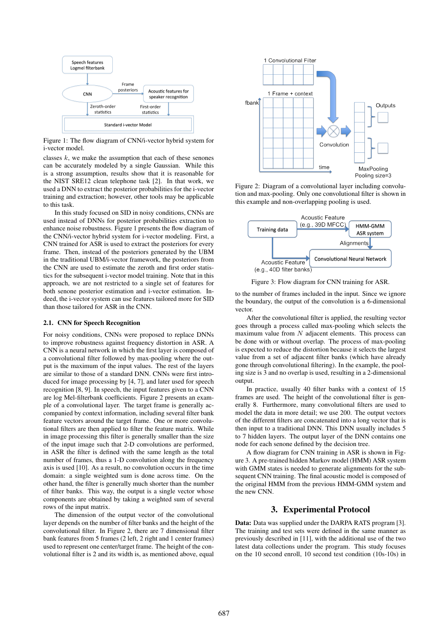

Figure 1: The flow diagram of CNN/i-vector hybrid system for i-vector model.

classes  $k$ , we make the assumption that each of these senones can be accurately modeled by a single Gaussian. While this is a strong assumption, results show that it is reasonable for the NIST SRE12 clean telephone task [2]. In that work, we used a DNN to extract the posterior probabilities for the i-vector training and extraction; however, other tools may be applicable to this task.

In this study focused on SID in noisy conditions, CNNs are used instead of DNNs for posterior probabilities extraction to enhance noise robustness. Figure 1 presents the flow diagram of the CNN/i-vector hybrid system for i-vector modeling. First, a CNN trained for ASR is used to extract the posteriors for every frame. Then, instead of the posteriors generated by the UBM in the traditional UBM/i-vector framework, the posteriors from the CNN are used to estimate the zeroth and first order statistics for the subsequent i-vector model training. Note that in this approach, we are not restricted to a single set of features for both senone posterior estimation and i-vector estimation. Indeed, the i-vector system can use features tailored more for SID than those tailored for ASR in the CNN.

### 2.1. CNN for Speech Recognition

For noisy conditions, CNNs were proposed to replace DNNs to improve robustness against frequency distortion in ASR. A CNN is a neural network in which the first layer is composed of a convolutional filter followed by max-pooling where the output is the maximum of the input values. The rest of the layers are similar to those of a standard DNN. CNNs were first introduced for image processing by [4, 7], and later used for speech recognition [8, 9]. In speech, the input features given to a CNN are log Mel-filterbank coefficients. Figure 2 presents an example of a convolutional layer. The target frame is generally accompanied by context information, including several filter bank feature vectors around the target frame. One or more convolutional filters are then applied to filter the feature matrix. While in image processing this filter is generally smaller than the size of the input image such that 2-D convolutions are performed, in ASR the filter is defined with the same length as the total number of frames, thus a 1-D convolution along the frequency axis is used [10]. As a result, no convolution occurs in the time domain: a single weighted sum is done across time. On the other hand, the filter is generally much shorter than the number of filter banks. This way, the output is a single vector whose components are obtained by taking a weighted sum of several rows of the input matrix.

The dimension of the output vector of the convolutional layer depends on the number of filter banks and the height of the convolutional filter. In Figure 2, there are 7 dimensional filter bank features from 5 frames (2 left, 2 right and 1 center frames) used to represent one center/target frame. The height of the convolutional filter is 2 and its width is, as mentioned above, equal



Figure 2: Diagram of a convolutional layer including convolution and max-pooling. Only one convolutional filter is shown in this example and non-overlapping pooling is used.



Figure 3: Flow diagram for CNN training for ASR.

to the number of frames included in the input. Since we ignore the boundary, the output of the convolution is a 6-dimensional vector.

After the convolutional filter is applied, the resulting vector goes through a process called max-pooling which selects the maximum value from  $N$  adjacent elements. This process can be done with or without overlap. The process of max-pooling is expected to reduce the distortion because it selects the largest value from a set of adjacent filter banks (which have already gone through convolutional filtering). In the example, the pooling size is 3 and no overlap is used, resulting in a 2-dimensional output.

In practice, usually 40 filter banks with a context of 15 frames are used. The height of the convolutional filter is generally 8. Furthermore, many convolutional filters are used to model the data in more detail; we use 200. The output vectors of the different filters are concatenated into a long vector that is then input to a traditional DNN. This DNN usually includes 5 to 7 hidden layers. The output layer of the DNN contains one node for each senone defined by the decision tree.

A flow diagram for CNN training in ASR is shown in Figure 3. A pre-trained hidden Markov model (HMM) ASR system with GMM states is needed to generate alignments for the subsequent CNN training. The final acoustic model is composed of the original HMM from the previous HMM-GMM system and the new CNN.

# 3. Experimental Protocol

Data: Data was supplied under the DARPA RATS program [3]. The training and test sets were defined in the same manner as previously described in [11], with the additional use of the two latest data collections under the program. This study focuses on the 10 second enroll, 10 second test condition (10s-10s) in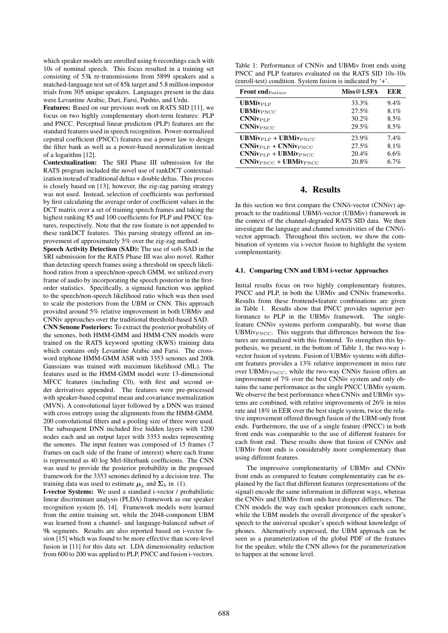which speaker models are enrolled using 6 recordings each with 10s of nominal speech. This focus resulted in a training set consisting of 53k re-transmissions from 5899 speakers and a matched-language test set of 85k target and 5.8 million impostor trials from 305 unique speakers. Languages present in the data were Levantine Arabic, Dari, Farsi, Pushto, and Urdu.

Features: Based on our previous work on RATS SID [11], we focus on two highly complementary short-term features: PLP and PNCC. Perceptual linear prediction (PLP) features are the standard features used in speech recognition. Power-normalized cepstral coefficient (PNCC) features use a power law to design the filter bank as well as a power-based normalization instead of a logarithm [12].

Contextualization: The SRI Phase III submission for the RATS program included the novel use of rankDCT contextualization instead of traditional deltas + double deltas. This process is closely based on [13]; however, the zig-zag parsing strategy was not used. Instead, selection of coefficients was performed by first calculating the average order of coefficient values in the DCT matrix over a set of training speech frames and taking the highest ranking 85 and 100 coefficients for PLP and PNCC features, respectively. Note that the raw feature is not appended to these rankDCT features. This parsing strategy offered an improvement of approximately 5% over the zig-zag method.

Speech Activity Detection (SAD): The use of soft-SAD in the SRI submission for the RATS Phase III was also novel. Rather than detecting speech frames using a threshold on speech likelihood ratios from a speech/non-speech GMM, we utilized every frame of audio by incorporating the speech posterior in the firstorder statistics. Specifically, a sigmoid function was applied to the speech/non-speech likelihood ratio which was then used to scale the posteriors from the UBM or CNN. This approach provided around 5% relative improvement in both UBMiv and CNNiv approaches over the traditional threshold-based SAD.

CNN Senone Posteriors: To extract the posterior probability of the senones, both HMM-GMM and HMM-CNN models were trained on the RATS keyword spotting (KWS) training data which contains only Levantine Arabic and Farsi. The crossword triphone HMM-GMM ASR with 3353 senones and 200k Gaussians was trained with maximum likelihood (ML). The features used in the HMM-GMM model were 13-dimensional MFCC features (including C0), with first and second order derivatives appended. The features were pre-processed with speaker-based cepstral mean and covariance normalization (MVN). A convolutional layer followed by a DNN was trained with cross entropy using the alignments from the HMM-GMM. 200 convolutional filters and a pooling size of three were used. The subsequent DNN included five hidden layers with 1200 nodes each and an output layer with 3353 nodes representing the senones. The input feature was composed of 15 frames (7 frames on each side of the frame of interest) where each frame is represented as 40 log Mel-filterbank coefficients. The CNN was used to provide the posterior probability in the proposed framework for the 3353 senones defined by a decision tree. The training data was used to estimate  $\mu_k$  and  $\Sigma_k$  in (1).

I-vector Systems: We used a standard i-vector / probabilistic linear discriminant analysis (PLDA) framework as our speaker recognition system [6, 14]. Framework models were learned from the entire training set, while the 2048-component UBM was learned from a channel- and language-balanced subset of 9k segments. Results are also reported based on i-vector fusion [15] which was found to be more effective than score-level fusion in [11] for this data set. LDA dimensionality reduction from 600 to 200 was applied to PLP, PNCC and fusion i-vectors.

| Table 1: Performance of CNNiv and UBMiv front ends using     |
|--------------------------------------------------------------|
| PNCC and PLP features evaluated on the RATS SID 10s-10s      |
| (enroll-test) condition. System fusion is indicated by $+$ . |

| <b>Front end Feature</b>                    | Miss@1.5FA | EER  |
|---------------------------------------------|------------|------|
| <b>UBMivPLP</b>                             | 33.3%      | 9.4% |
| <b>UBMivPNCC</b>                            | 27.5%      | 8.1% |
| $CNNiv_{\text{PLP}}$                        | 30.2%      | 8.5% |
| $CNNiv_{\text{PNCC}}$                       | 29.5%      | 8.5% |
| $UBMiv_{\text{PLP}} + UBMiv_{\text{PNCC}}$  | 23.9%      | 7.4% |
| $CNNiv_{\text{PLP}} + CNNiv_{\text{PNCC}}$  | 27.5%      | 8.1% |
| $CNNiv_{\text{PLP}} + UBMiv_{\text{PNCC}}$  | 20.4%      | 6.6% |
| $CNNiv_{\text{PNCC}} + UBMiv_{\text{PNCC}}$ | 20.8%      | 6.7% |

# 4. Results

In this section we first compare the CNN/i-vector (CNNiv) approach to the traditional UBM/i-vector (UBMiv) framework in the context of the channel-degraded RATS SID data. We then investigate the language and channel sensitivities of the CNN/ivector approach. Throughout this section, we show the combination of systems via i-vector fusion to highlight the system complementarity.

### 4.1. Comparing CNN and UBM i-vector Approaches

Initial results focus on two highly complementary features, PNCC and PLP, in both the UBMiv and CNNiv frameworks. Results from these frontend+feature combinations are given in Table 1. Results show that PNCC provides superior performance to PLP in the UBMiv framework. The singlefeature CNNiv systems perform comparably, but worse than UBMivPNCC. This suggests that differences between the features are normalized with this frontend. To strengthen this hypothesis, we present, in the bottom of Table 1, the two-way ivector fusion of systems. Fusion of UBMiv systems with different features provides a 13% relative improvement in miss rate over UBMiv $_{\text{PNCC}}$ , while the two-way CNNiv fusion offers an improvement of 7% over the best CNNiv system and only obtains the same performance as the single PNCC UBMiv system. We observe the best performance when CNNiv and UBMiv systems are combined, with relative improvements of 26% in miss rate and 18% in EER over the best single system, twice the relative improvement offered through fusion of the UBM-only front ends. Furthermore, the use of a single feature (PNCC) in both front ends was comparable to the use of different features for each front end. These results show that fusion of CNNiv and UBMiv front ends is considerably more complementary than using different features.

The impressive complementarity of UBMiv and CNNiv front ends as compared to feature complementarity can be explained by the fact that different features (representations of the signal) encode the same information in different ways, whereas the CNNiv and UBMiv front ends have deeper differences. The CNN models the way each speaker pronounces each senone, while the UBM models the overall divergence of the speaker's speech to the universal speaker's speech without knowledge of phones. Alternatively expressed, the UBM approach can be seen as a parameterization of the global PDF of the features for the speaker, while the CNN allows for the parameterization to happen at the senone level.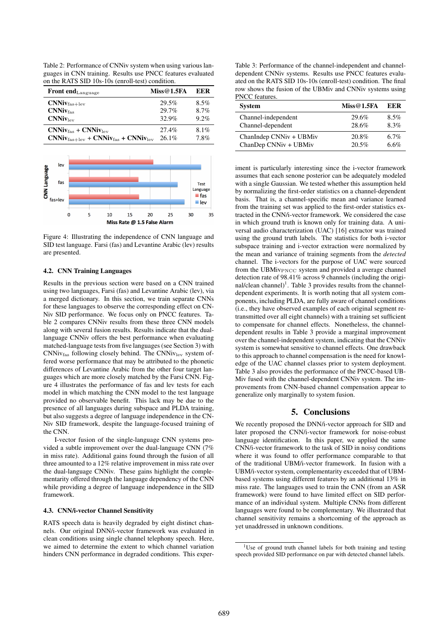Table 2: Performance of CNNiv system when using various languages in CNN training. Results use PNCC features evaluated on the RATS SID 10s-10s (enroll-test) condition.

| <b>Front end</b> Language                                          | Miss@1.5FA | EER     |
|--------------------------------------------------------------------|------------|---------|
| $CNNiv_{\text{fas+lev}}$                                           | 29.5%      | $8.5\%$ |
| CNNiv <sub>fas</sub>                                               | 29.7%      | $8.7\%$ |
| CNNiv <sub>lev</sub>                                               | 32.9%      | $9.2\%$ |
| $CNNiv_{\text{fas}} + CNNiv_{\text{lev}}$                          | $27.4\%$   | $8.1\%$ |
| $CNNiv_{\text{fas+lev}} + CNNiv_{\text{fas}} + CNNiv_{\text{lev}}$ | $26.1\%$   | 7.8%    |



Figure 4: Illustrating the independence of CNN language and SID test language. Farsi (fas) and Levantine Arabic (lev) results are presented.

### 4.2. CNN Training Languages

Results in the previous section were based on a CNN trained using two languages, Farsi (fas) and Levantine Arabic (lev), via a merged dictionary. In this section, we train separate CNNs for these languages to observe the corresponding effect on CN-Niv SID performance. We focus only on PNCC features. Table 2 compares CNNiv results from these three CNN models along with several fusion results. Results indicate that the duallanguage CNNiv offers the best performance when evaluating matched-language tests from five languages (see Section 3) with  $CNNiv<sub>fas</sub>$  following closely behind. The  $CNNiv<sub>lev</sub>$  system offered worse performance that may be attributed to the phonetic differences of Levantine Arabic from the other four target languages which are more closely matched by the Farsi CNN. Figure 4 illustrates the performance of fas and lev tests for each model in which matching the CNN model to the test language provided no observable benefit. This lack may be due to the presence of all languages during subspace and PLDA training, but also suggests a degree of language independence in the CN-Niv SID framework, despite the language-focused training of the CNN.

I-vector fusion of the single-language CNN systems provided a subtle improvement over the dual-language CNN (7% in miss rate). Additional gains found through the fusion of all three amounted to a 12% relative improvement in miss rate over the dual-language CNNiv. These gains highlight the complementarity offered through the language dependency of the CNN while providing a degree of language independence in the SID framework.

#### 4.3. CNN/i-vector Channel Sensitivity

RATS speech data is heavily degraded by eight distinct channels. Our original DNN/i-vector framework was evaluated in clean conditions using single channel telephony speech. Here, we aimed to determine the extent to which channel variation hinders CNN performance in degraded conditions. This exper-

Table 3: Performance of the channel-independent and channeldependent CNNiv systems. Results use PNCC features evaluated on the RATS SID 10s-10s (enroll-test) condition. The final row shows the fusion of the UBMiv and CNNiv systems using PNCC features.

| <b>System</b>           | Miss@1.5FA | EER     |
|-------------------------|------------|---------|
| Channel-independent     | 29.6%      | $8.5\%$ |
| Channel-dependent       | 28.6%      | 8.3%    |
| ChanIndep CNNiv + UBMiv | 20.8%      | 6.7%    |
| ChanDep CNNiv + UBMiv   | 20.5%      | 6.6%    |

iment is particularly interesting since the i-vector framework assumes that each senone posterior can be adequately modeled with a single Gaussian. We tested whether this assumption held by normalizing the first-order statistics on a channel-dependent basis. That is, a channel-specific mean and variance learned from the training set was applied to the first-order statistics extracted in the CNN/i-vector framework. We considered the case in which ground truth is known only for training data. A universal audio characterization (UAC) [16] extractor was trained using the ground truth labels. The statistics for both i-vector subspace training and i-vector extraction were normalized by the mean and variance of training segments from the *detected* channel. The i-vectors for the purpose of UAC were sourced from the UBMiv<sub>PNCC</sub> system and provided a average channel detection rate of 98.41% across 9 channels (including the original/clean channel)<sup>1</sup>. Table 3 provides results from the channeldependent experiments. It is worth noting that all system components, including PLDA, are fully aware of channel conditions (i.e., they have observed examples of each original segment retransmitted over all eight channels) with a training set sufficient to compensate for channel effects. Nonetheless, the channeldependent results in Table 3 provide a marginal improvement over the channel-independent system, indicating that the CNNiv system is somewhat sensitive to channel effects. One drawback to this approach to channel compensation is the need for knowledge of the UAC channel classes prior to system deployment. Table 3 also provides the performance of the PNCC-based UB-Miv fused with the channel-dependent CNNiv system. The improvements from CNN-based channel compensation appear to generalize only marginally to system fusion.

# 5. Conclusions

We recently proposed the DNN/i-vector approach for SID and later proposed the CNN/i-vector framework for noise-robust language identification. In this paper, we applied the same CNN/i-vector framework to the task of SID in noisy conditions where it was found to offer performance comparable to that of the traditional UBM/i-vector framework. In fusion with a UBM/i-vector system, complementarity exceeded that of UBMbased systems using different features by an additional 13% in miss rate. The languages used to train the CNN (from an ASR framework) were found to have limited effect on SID performance of an individual system. Multiple CNNs from different languages were found to be complementary. We illustrated that channel sensitivity remains a shortcoming of the approach as yet unaddressed in unknown conditions.

<sup>&</sup>lt;sup>1</sup>Use of ground truth channel labels for both training and testing speech provided SID performance on par with detected channel labels.